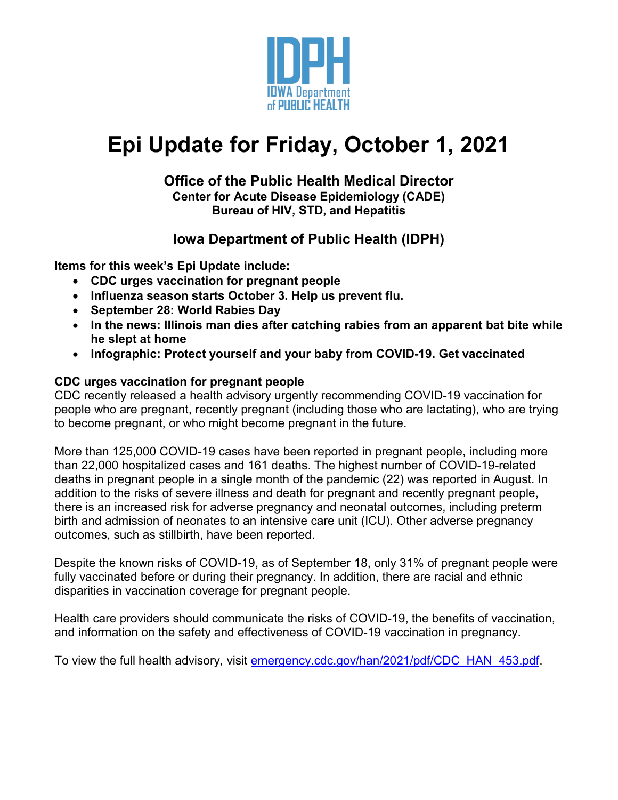

# **Epi Update for Friday, October 1, 2021**

#### **Office of the Public Health Medical Director Center for Acute Disease Epidemiology (CADE) Bureau of HIV, STD, and Hepatitis**

# **Iowa Department of Public Health (IDPH)**

**Items for this week's Epi Update include:**

- **CDC urges vaccination for pregnant people**
- **Influenza season starts October 3. Help us prevent flu.**
- **September 28: World Rabies Day**
- **In the news: Illinois man dies after catching rabies from an apparent bat bite while he slept at home**
- **Infographic: Protect yourself and your baby from COVID-19. Get vaccinated**

### **CDC urges vaccination for pregnant people**

CDC recently released a health advisory urgently recommending COVID-19 vaccination for people who are pregnant, recently pregnant (including those who are lactating), who are trying to become pregnant, or who might become pregnant in the future.

More than 125,000 COVID-19 cases have been reported in pregnant people, including more than 22,000 hospitalized cases and 161 deaths. The highest number of COVID-19-related deaths in pregnant people in a single month of the pandemic (22) was reported in August. In addition to the risks of severe illness and death for pregnant and recently pregnant people, there is an increased risk for adverse pregnancy and neonatal outcomes, including preterm birth and admission of neonates to an intensive care unit (ICU). Other adverse pregnancy outcomes, such as stillbirth, have been reported.

Despite the known risks of COVID-19, as of September 18, only 31% of pregnant people were fully vaccinated before or during their pregnancy. In addition, there are racial and ethnic disparities in vaccination coverage for pregnant people.

Health care providers should communicate the risks of COVID-19, the benefits of vaccination, and information on the safety and effectiveness of COVID-19 vaccination in pregnancy.

To view the full health advisory, visit [emergency.cdc.gov/han/2021/pdf/CDC\\_HAN\\_453.pdf.](https://emergency.cdc.gov/han/2021/pdf/CDC_HAN_453.pdf)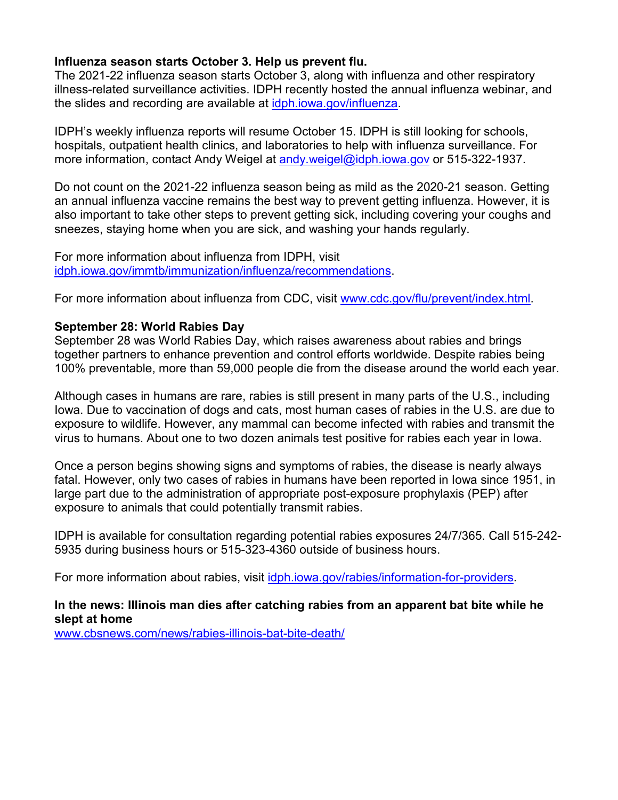#### **Influenza season starts October 3. Help us prevent flu.**

The 2021-22 influenza season starts October 3, along with influenza and other respiratory illness-related surveillance activities. IDPH recently hosted the annual influenza webinar, and the slides and recording are available at [idph.iowa.gov/influenza.](https://idph.iowa.gov/influenza)

IDPH's weekly influenza reports will resume October 15. IDPH is still looking for schools, hospitals, outpatient health clinics, and laboratories to help with influenza surveillance. For more information, contact Andy Weigel at andy weigel@idph.iowa.gov or 515-322-1937.

Do not count on the 2021-22 influenza season being as mild as the 2020-21 season. Getting an annual influenza vaccine remains the best way to prevent getting influenza. However, it is also important to take other steps to prevent getting sick, including covering your coughs and sneezes, staying home when you are sick, and washing your hands regularly.

For more information about influenza from IDPH, visit [idph.iowa.gov/immtb/immunization/influenza/recommendations.](https://idph.iowa.gov/immtb/immunization/influenza/recommendations)

For more information about influenza from CDC, visit [www.cdc.gov/flu/prevent/index.html.](https://www.cdc.gov/flu/prevent/index.html)

#### **September 28: World Rabies Day**

September 28 was World Rabies Day, which raises awareness about rabies and brings together partners to enhance prevention and control efforts worldwide. Despite rabies being 100% preventable, more than 59,000 people die from the disease around the world each year.

Although cases in humans are rare, rabies is still present in many parts of the U.S., including Iowa. Due to vaccination of dogs and cats, most human cases of rabies in the U.S. are due to exposure to wildlife. However, any mammal can become infected with rabies and transmit the virus to humans. About one to two dozen animals test positive for rabies each year in Iowa.

Once a person begins showing signs and symptoms of rabies, the disease is nearly always fatal. However, only two cases of rabies in humans have been reported in Iowa since 1951, in large part due to the administration of appropriate post-exposure prophylaxis (PEP) after exposure to animals that could potentially transmit rabies.

IDPH is available for consultation regarding potential rabies exposures 24/7/365. Call 515-242- 5935 during business hours or 515-323-4360 outside of business hours.

For more information about rabies, visit [idph.iowa.gov/rabies/information-for-providers.](https://idph.iowa.gov/rabies/information-for-providers)

# **In the news: Illinois man dies after catching rabies from an apparent bat bite while he slept at home**

[www.cbsnews.com/news/rabies-illinois-bat-bite-death/](http://www.cbsnews.com/news/rabies-illinois-bat-bite-death/)